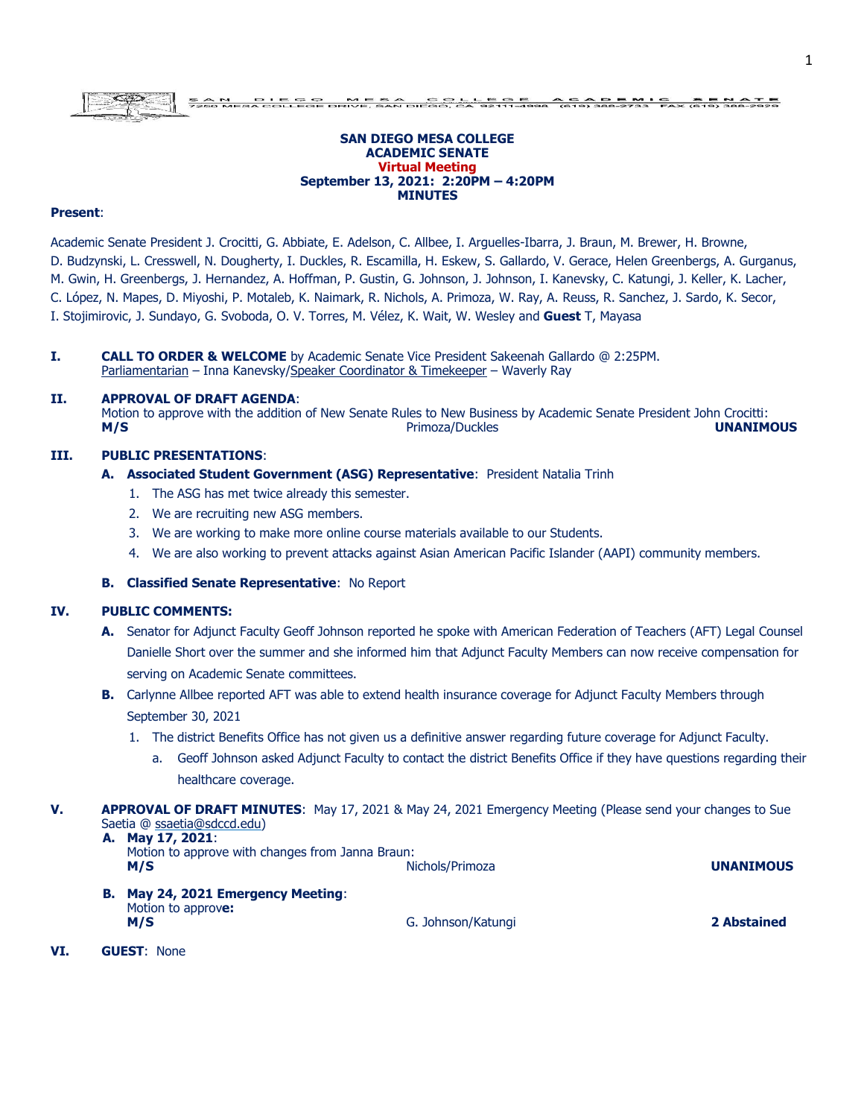#### **SAN DIEGO MESA COLLEGE ACADEMIC SENATE Virtual Meeting September 13, 2021: 2:20PM – 4:20PM MINUTES**

#### **Present**:

Academic Senate President J. Crocitti, G. Abbiate, E. Adelson, C. Allbee, I. Arguelles-Ibarra, J. Braun, M. Brewer, H. Browne, D. Budzynski, L. Cresswell, N. Dougherty, I. Duckles, R. Escamilla, H. Eskew, S. Gallardo, V. Gerace, Helen Greenbergs, A. Gurganus, M. Gwin, H. Greenbergs, J. Hernandez, A. Hoffman, P. Gustin, G. Johnson, J. Johnson, I. Kanevsky, C. Katungi, J. Keller, K. Lacher, C. López, N. Mapes, D. Miyoshi, P. Motaleb, K. Naimark, R. Nichols, A. Primoza, W. Ray, A. Reuss, R. Sanchez, J. Sardo, K. Secor, I. Stojimirovic, J. Sundayo, G. Svoboda, O. V. Torres, M. Vélez, K. Wait, W. Wesley and **Guest** T, Mayasa

**I. CALL TO ORDER & WELCOME** by Academic Senate Vice President Sakeenah Gallardo @ 2:25PM. Parliamentarian – Inna Kanevsky/Speaker Coordinator & Timekeeper – Waverly Ray

#### **II. APPROVAL OF DRAFT AGENDA**:

Motion to approve with the addition of New Senate Rules to New Business by Academic Senate President John Crocitti: **M/S** Primoza/Duckles **UNANIMOUS**

### **III. PUBLIC PRESENTATIONS**:

- **A. Associated Student Government (ASG) Representative**: President Natalia Trinh
	- 1. The ASG has met twice already this semester.
	- 2. We are recruiting new ASG members.
	- 3. We are working to make more online course materials available to our Students.
	- 4. We are also working to prevent attacks against Asian American Pacific Islander (AAPI) community members.

# **B. Classified Senate Representative**: No Report

#### **IV. PUBLIC COMMENTS:**

- **A.** Senator for Adjunct Faculty Geoff Johnson reported he spoke with American Federation of Teachers (AFT) Legal Counsel Danielle Short over the summer and she informed him that Adjunct Faculty Members can now receive compensation for serving on Academic Senate committees.
- **B.** Carlynne Allbee reported AFT was able to extend health insurance coverage for Adjunct Faculty Members through September 30, 2021
	- 1. The district Benefits Office has not given us a definitive answer regarding future coverage for Adjunct Faculty.
		- a. Geoff Johnson asked Adjunct Faculty to contact the district Benefits Office if they have questions regarding their healthcare coverage.
- **V. APPROVAL OF DRAFT MINUTES**: May 17, 2021 & May 24, 2021 Emergency Meeting (Please send your changes to Sue Saetia @ ssaetia@sdccd.edu) **A. May 17, 2021**:

| $A: I:U \times I \times I \times I \times I$<br>Motion to approve with changes from Janna Braun:<br>M/S | Nichols/Primoza    | <b>UNANIMOUS</b> |  |
|---------------------------------------------------------------------------------------------------------|--------------------|------------------|--|
| <b>B. May 24, 2021 Emergency Meeting:</b><br>Motion to approve:                                         |                    |                  |  |
| M/S                                                                                                     | G. Johnson/Katungi | 2 Abstained      |  |

**VI. GUEST**: None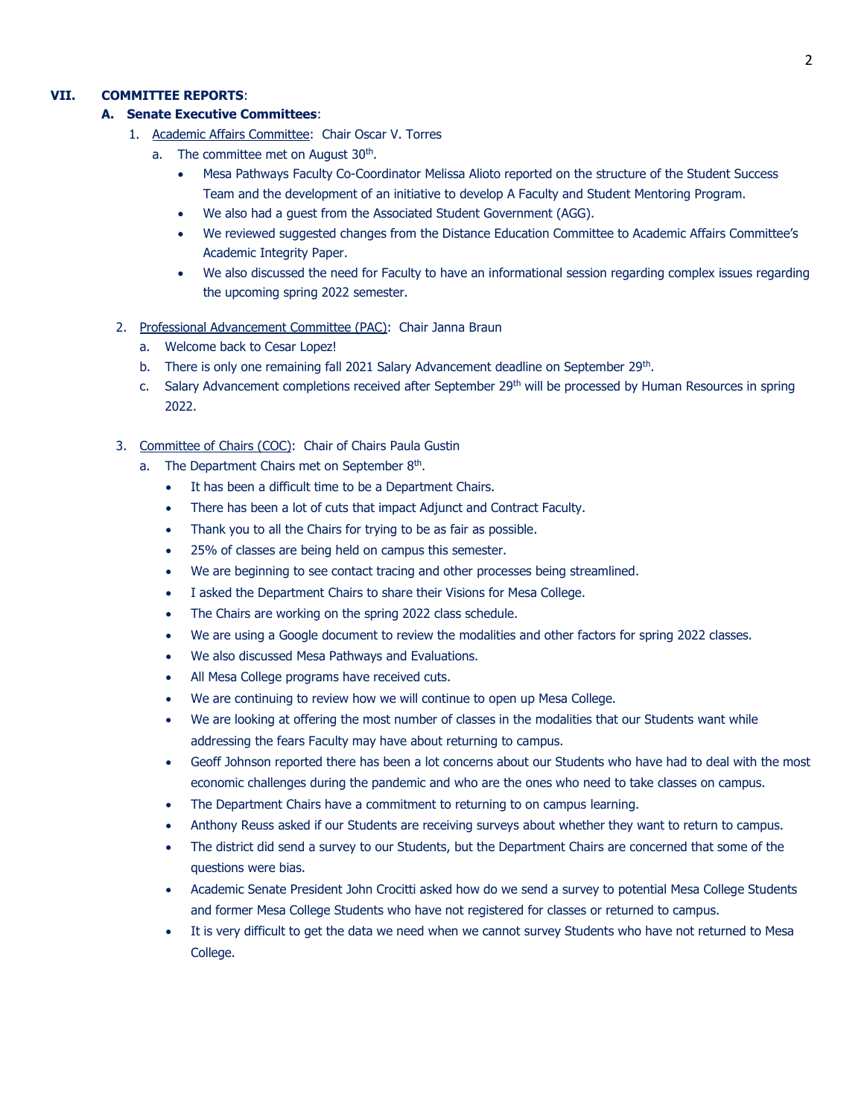## **VII. COMMITTEE REPORTS**:

## **A. Senate Executive Committees**:

- 1. Academic Affairs Committee: Chair Oscar V. Torres
	- a. The committee met on August  $30<sup>th</sup>$ .
		- Mesa Pathways Faculty Co-Coordinator Melissa Alioto reported on the structure of the Student Success Team and the development of an initiative to develop A Faculty and Student Mentoring Program.
		- We also had a guest from the Associated Student Government (AGG).
		- We reviewed suggested changes from the Distance Education Committee to Academic Affairs Committee's Academic Integrity Paper.
		- We also discussed the need for Faculty to have an informational session regarding complex issues regarding the upcoming spring 2022 semester.
- 2. Professional Advancement Committee (PAC): Chair Janna Braun
	- a. Welcome back to Cesar Lopez!
	- b. There is only one remaining fall 2021 Salary Advancement deadline on September 29<sup>th</sup>.
	- c. Salary Advancement completions received after September 29<sup>th</sup> will be processed by Human Resources in spring 2022.
- 3. Committee of Chairs (COC): Chair of Chairs Paula Gustin
	- a. The Department Chairs met on September 8<sup>th</sup>.
		- It has been a difficult time to be a Department Chairs.
		- There has been a lot of cuts that impact Adjunct and Contract Faculty.
		- Thank you to all the Chairs for trying to be as fair as possible.
		- 25% of classes are being held on campus this semester.
		- We are beginning to see contact tracing and other processes being streamlined.
		- I asked the Department Chairs to share their Visions for Mesa College.
		- The Chairs are working on the spring 2022 class schedule.
		- We are using a Google document to review the modalities and other factors for spring 2022 classes.
		- We also discussed Mesa Pathways and Evaluations.
		- All Mesa College programs have received cuts.
		- We are continuing to review how we will continue to open up Mesa College.
		- We are looking at offering the most number of classes in the modalities that our Students want while addressing the fears Faculty may have about returning to campus.
		- Geoff Johnson reported there has been a lot concerns about our Students who have had to deal with the most economic challenges during the pandemic and who are the ones who need to take classes on campus.
		- The Department Chairs have a commitment to returning to on campus learning.
		- Anthony Reuss asked if our Students are receiving surveys about whether they want to return to campus.
		- The district did send a survey to our Students, but the Department Chairs are concerned that some of the questions were bias.
		- Academic Senate President John Crocitti asked how do we send a survey to potential Mesa College Students and former Mesa College Students who have not registered for classes or returned to campus.
		- It is very difficult to get the data we need when we cannot survey Students who have not returned to Mesa College.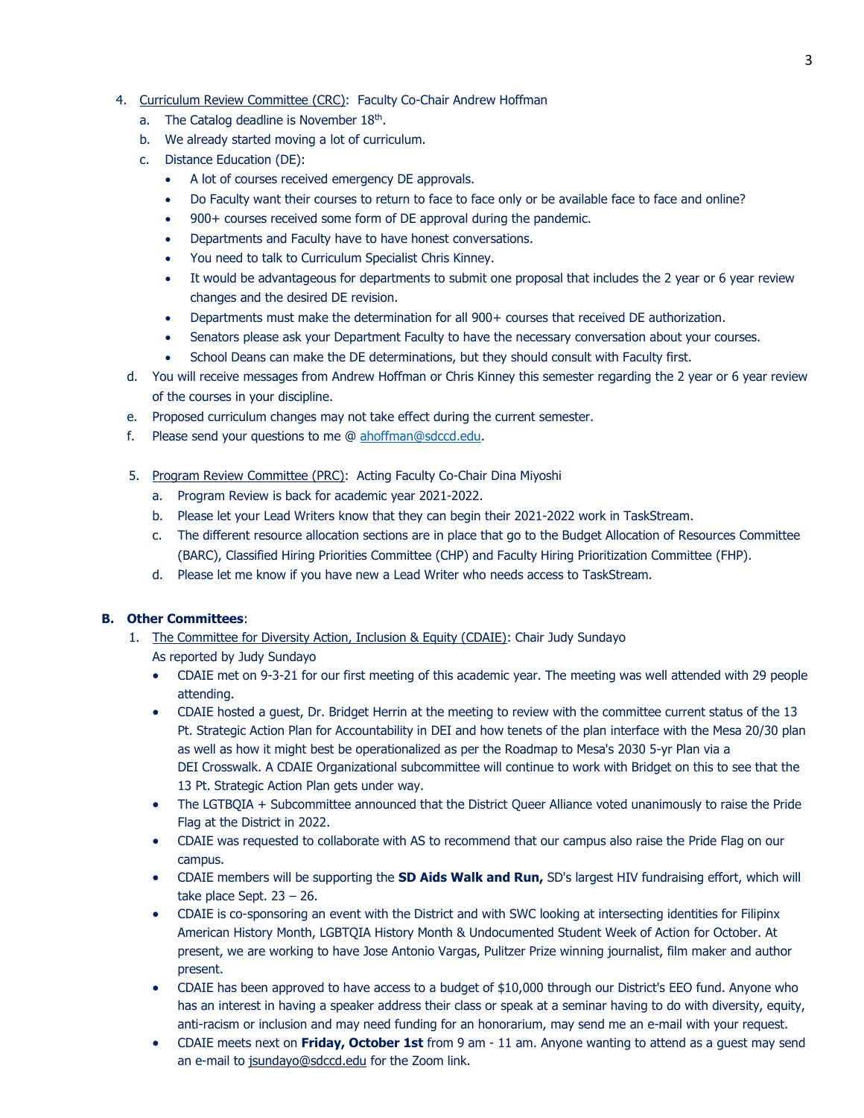- 4. Curriculum Review Committee (CRC): Faculty Co-Chair Andrew Hoffman
	- a. The Catalog deadline is November  $18<sup>th</sup>$ .
	- b. We already started moving a lot of curriculum.
	- c. Distance Education (DE):
		- A lot of courses received emergency DE approvals.
		- Do Faculty want their courses to return to face to face only or be available face to face and online?
		- 900+ courses received some form of DE approval during the pandemic.
		- Departments and Faculty have to have honest conversations.
		- You need to talk to Curriculum Specialist Chris Kinney.
		- It would be advantageous for departments to submit one proposal that includes the 2 year or 6 year review changes and the desired DE revision.
		- Departments must make the determination for all 900+ courses that received DE authorization.
		- Senators please ask your Department Faculty to have the necessary conversation about your courses.
		- School Deans can make the DE determinations, but they should consult with Faculty first.
	- d. You will receive messages from Andrew Hoffman or Chris Kinney this semester regarding the 2 year or 6 year review of the courses in your discipline.
	- e. Proposed curriculum changes may not take effect during the current semester.
	- f. Please send your questions to me @ [ahoffman@sdccd.edu.](mailto:ahoffman@sdccd.edu)
	- 5. Program Review Committee (PRC): Acting Faculty Co-Chair Dina Miyoshi
		- a. Program Review is back for academic year 2021-2022.
		- b. Please let your Lead Writers know that they can begin their 2021-2022 work in TaskStream.
		- c. The different resource allocation sections are in place that go to the Budget Allocation of Resources Committee (BARC), Classified Hiring Priorities Committee (CHP) and Faculty Hiring Prioritization Committee (FHP).
		- d. Please let me know if you have new a Lead Writer who needs access to TaskStream.

# **B. Other Committees**:

- 1. The Committee for Diversity Action, Inclusion & Equity (CDAIE): Chair Judy Sundayo As reported by Judy Sundayo
	- CDAIE met on 9-3-21 for our first meeting of this academic year. The meeting was well attended with 29 people attending.
	- CDAIE hosted a guest, Dr. Bridget Herrin at the meeting to review with the committee current status of the 13 Pt. Strategic Action Plan for Accountability in DEI and how tenets of the plan interface with the Mesa 20/30 plan as well as how it might best be operationalized as per the Roadmap to Mesa's 2030 5-yr Plan via a DEI Crosswalk. A CDAIE Organizational subcommittee will continue to work with Bridget on this to see that the 13 Pt. Strategic Action Plan gets under way.
	- The LGTBQIA + Subcommittee announced that the District Queer Alliance voted unanimously to raise the Pride Flag at the District in 2022.
	- CDAIE was requested to collaborate with AS to recommend that our campus also raise the Pride Flag on our campus.
	- CDAIE members will be supporting the **SD Aids Walk and Run,** SD's largest HIV fundraising effort, which will take place Sept.  $23 - 26$ .
	- CDAIE is co-sponsoring an event with the District and with SWC looking at intersecting identities for Filipinx American History Month, LGBTQIA History Month & Undocumented Student Week of Action for October. At present, we are working to have Jose Antonio Vargas, Pulitzer Prize winning journalist, film maker and author present.
	- CDAIE has been approved to have access to a budget of \$10,000 through our District's EEO fund. Anyone who has an interest in having a speaker address their class or speak at a seminar having to do with diversity, equity, anti-racism or inclusion and may need funding for an honorarium, may send me an e-mail with your request.
	- CDAIE meets next on **Friday, October 1st** from 9 am 11 am. Anyone wanting to attend as a guest may send an e-mail to [jsundayo@sdccd.edu](mailto:jsundayo@sdccd.edu) for the Zoom link.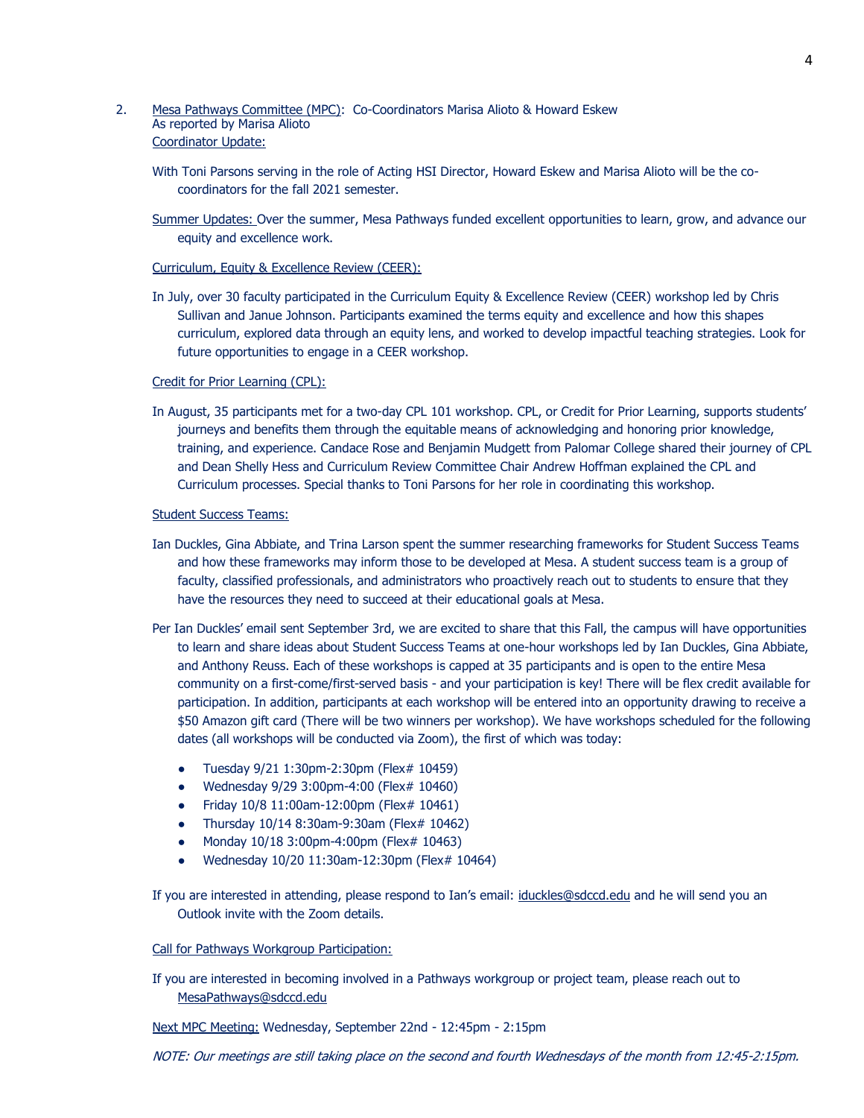## 2. Mesa Pathways Committee (MPC): Co-Coordinators Marisa Alioto & Howard Eskew As reported by Marisa Alioto Coordinator Update:

- With Toni Parsons serving in the role of Acting HSI Director, Howard Eskew and Marisa Alioto will be the cocoordinators for the fall 2021 semester.
- Summer Updates: Over the summer, Mesa Pathways funded excellent opportunities to learn, grow, and advance our equity and excellence work.

### Curriculum, Equity & Excellence Review (CEER):

In July, over 30 faculty participated in the Curriculum Equity & Excellence Review (CEER) workshop led by Chris Sullivan and Janue Johnson. Participants examined the terms equity and excellence and how this shapes curriculum, explored data through an equity lens, and worked to develop impactful teaching strategies. Look for future opportunities to engage in a CEER workshop.

#### Credit for Prior Learning (CPL):

In August, 35 participants met for a two-day CPL 101 workshop. CPL, or Credit for Prior Learning, supports students' journeys and benefits them through the equitable means of acknowledging and honoring prior knowledge, training, and experience. Candace Rose and Benjamin Mudgett from Palomar College shared their journey of CPL and Dean Shelly Hess and Curriculum Review Committee Chair Andrew Hoffman explained the CPL and Curriculum processes. Special thanks to Toni Parsons for her role in coordinating this workshop.

#### Student Success Teams:

- Ian Duckles, Gina Abbiate, and Trina Larson spent the summer researching frameworks for Student Success Teams and how these frameworks may inform those to be developed at Mesa. A student success team is a group of faculty, classified professionals, and administrators who proactively reach out to students to ensure that they have the resources they need to succeed at their educational goals at Mesa.
- Per Ian Duckles' email sent September 3rd, we are excited to share that this Fall, the campus will have opportunities to learn and share ideas about Student Success Teams at one-hour workshops led by Ian Duckles, Gina Abbiate, and Anthony Reuss. Each of these workshops is capped at 35 participants and is open to the entire Mesa community on a first-come/first-served basis - and your participation is key! There will be flex credit available for participation. In addition, participants at each workshop will be entered into an opportunity drawing to receive a \$50 Amazon gift card (There will be two winners per workshop). We have workshops scheduled for the following dates (all workshops will be conducted via Zoom), the first of which was today:
	- Tuesday 9/21 1:30pm-2:30pm (Flex# 10459)
	- Wednesday 9/29 3:00pm-4:00 (Flex# 10460)
	- Friday 10/8 11:00am-12:00pm (Flex# 10461)
	- Thursday 10/14 8:30am-9:30am (Flex# 10462)
	- Monday 10/18 3:00pm-4:00pm (Flex# 10463)
	- Wednesday 10/20 11:30am-12:30pm (Flex# 10464)

If you are interested in attending, please respond to Ian's email: [iduckles@sdccd.edu](mailto:iduckles@sdccd.edu) and he will send you an Outlook invite with the Zoom details.

### Call for Pathways Workgroup Participation:

If you are interested in becoming involved in a Pathways workgroup or project team, please reach out to [MesaPathways@sdccd.edu](mailto:MesaPathways@sdccd.edu)

Next MPC Meeting: Wednesday, September 22nd - 12:45pm - 2:15pm

NOTE: Our meetings are still taking place on the second and fourth Wednesdays of the month from 12:45-2:15pm.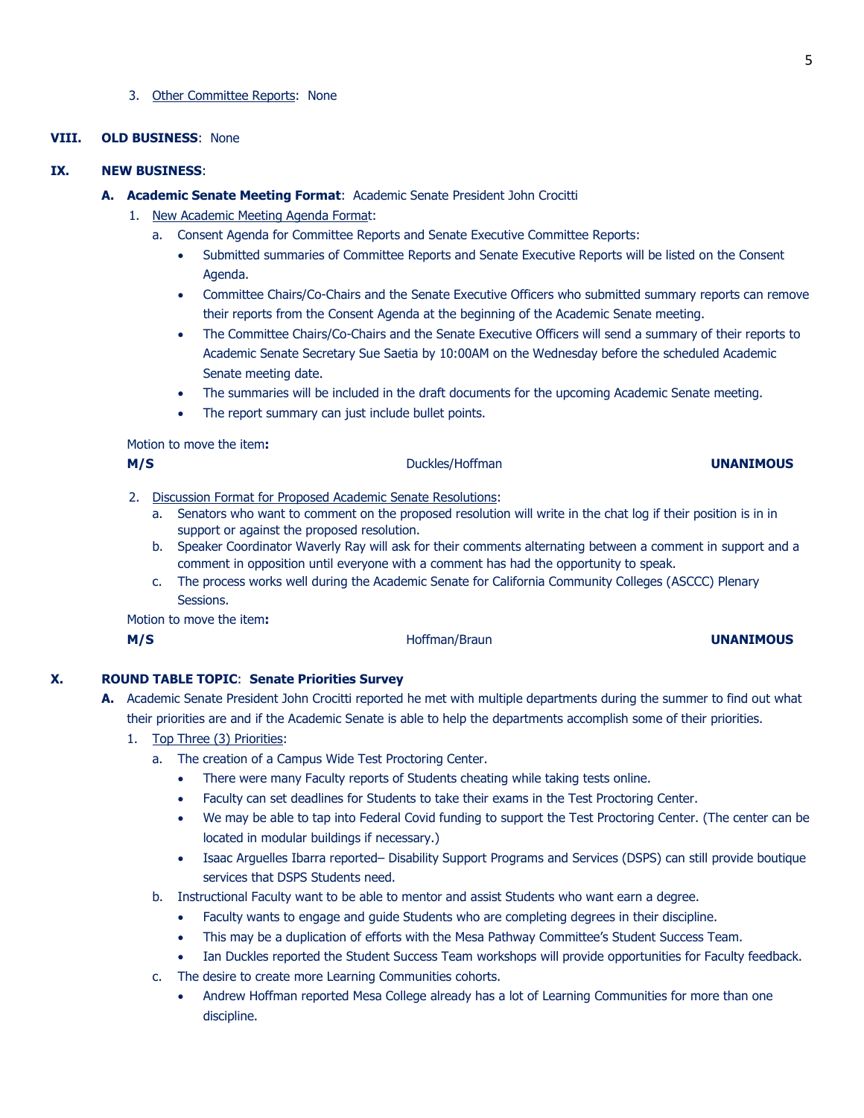#### 3. Other Committee Reports: None

# **VIII. OLD BUSINESS**: None

## **IX. NEW BUSINESS**:

- **A. Academic Senate Meeting Format**: Academic Senate President John Crocitti
	- 1. New Academic Meeting Agenda Format:
		- a. Consent Agenda for Committee Reports and Senate Executive Committee Reports:
			- Submitted summaries of Committee Reports and Senate Executive Reports will be listed on the Consent Agenda.
			- Committee Chairs/Co-Chairs and the Senate Executive Officers who submitted summary reports can remove their reports from the Consent Agenda at the beginning of the Academic Senate meeting.
			- The Committee Chairs/Co-Chairs and the Senate Executive Officers will send a summary of their reports to Academic Senate Secretary Sue Saetia by 10:00AM on the Wednesday before the scheduled Academic Senate meeting date.
			- The summaries will be included in the draft documents for the upcoming Academic Senate meeting.
			- The report summary can just include bullet points.

Motion to move the item**:**

| M/S |                                                             | Duckles/Hoffman<br><b>UNANIMOUS</b>                                                                           |  |  |
|-----|-------------------------------------------------------------|---------------------------------------------------------------------------------------------------------------|--|--|
|     | Discussion Format for Proposed Academic Senate Resolutions: |                                                                                                               |  |  |
|     | а.                                                          | Senators who want to comment on the proposed resolution will write in the chat log if their position is in in |  |  |
|     |                                                             | support or against the proposed resolution.                                                                   |  |  |
|     | b.                                                          | Speaker Coordinator Waverly Ray will ask for their comments alternating between a comment in support and a    |  |  |

- comment in opposition until everyone with a comment has had the opportunity to speak.
- c. The process works well during the Academic Senate for California Community Colleges (ASCCC) Plenary Sessions.

Motion to move the item**:**

**M/S** Hoffman/Braun **UNANIMOUS**

**X. ROUND TABLE TOPIC**: **Senate Priorities Survey**

- **A.** Academic Senate President John Crocitti reported he met with multiple departments during the summer to find out what their priorities are and if the Academic Senate is able to help the departments accomplish some of their priorities.
	- 1. Top Three (3) Priorities:
		- a. The creation of a Campus Wide Test Proctoring Center.
			- There were many Faculty reports of Students cheating while taking tests online.
			- Faculty can set deadlines for Students to take their exams in the Test Proctoring Center.
			- We may be able to tap into Federal Covid funding to support the Test Proctoring Center. (The center can be located in modular buildings if necessary.)
			- Isaac Arguelles Ibarra reported– Disability Support Programs and Services (DSPS) can still provide boutique services that DSPS Students need.
		- b. Instructional Faculty want to be able to mentor and assist Students who want earn a degree.
			- Faculty wants to engage and guide Students who are completing degrees in their discipline.
			- This may be a duplication of efforts with the Mesa Pathway Committee's Student Success Team.
			- Ian Duckles reported the Student Success Team workshops will provide opportunities for Faculty feedback.
		- c. The desire to create more Learning Communities cohorts.
			- Andrew Hoffman reported Mesa College already has a lot of Learning Communities for more than one discipline.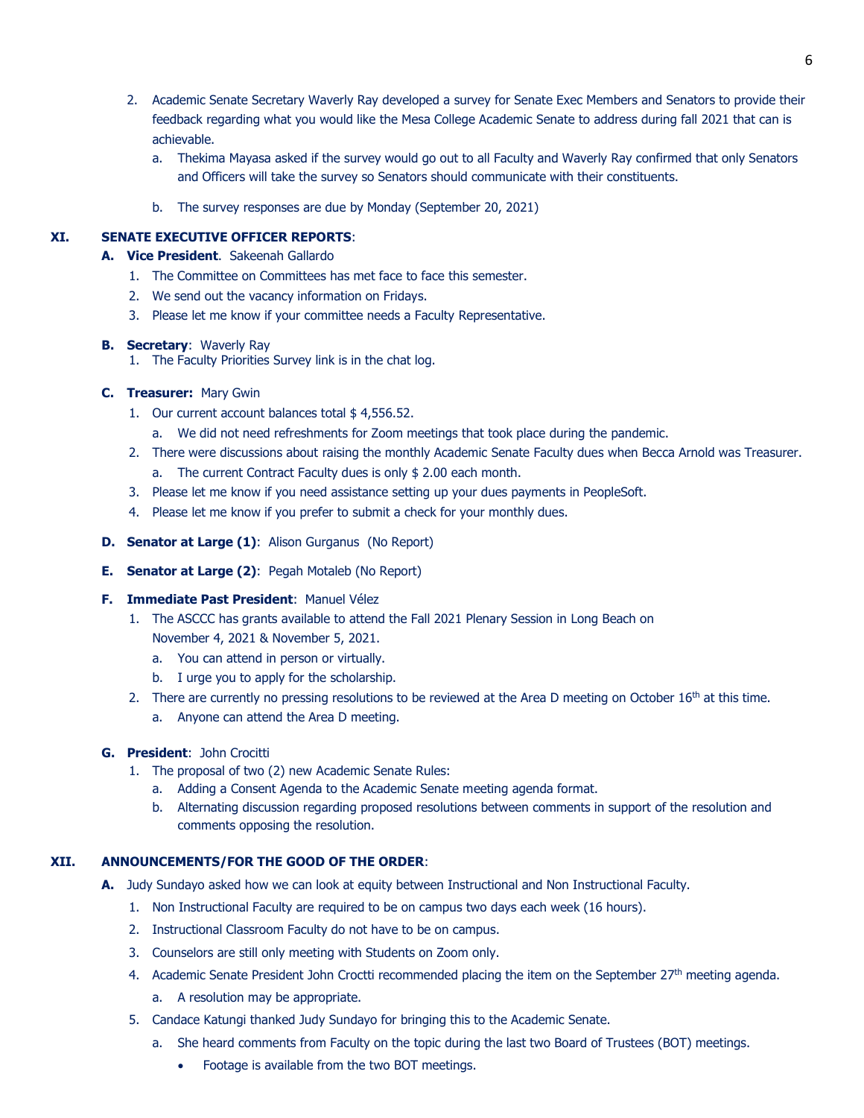- 2. Academic Senate Secretary Waverly Ray developed a survey for Senate Exec Members and Senators to provide their feedback regarding what you would like the Mesa College Academic Senate to address during fall 2021 that can is achievable.
	- a. Thekima Mayasa asked if the survey would go out to all Faculty and Waverly Ray confirmed that only Senators and Officers will take the survey so Senators should communicate with their constituents.
	- b. The survey responses are due by Monday (September 20, 2021)

# **XI. SENATE EXECUTIVE OFFICER REPORTS**:

- **A. Vice President**. Sakeenah Gallardo
	- 1. The Committee on Committees has met face to face this semester.
	- 2. We send out the vacancy information on Fridays.
	- 3. Please let me know if your committee needs a Faculty Representative.

# **B. Secretary**: Waverly Ray

1. The Faculty Priorities Survey link is in the chat log.

# **C. Treasurer:** Mary Gwin

- 1. Our current account balances total \$4,556.52.
	- a. We did not need refreshments for Zoom meetings that took place during the pandemic.
- 2. There were discussions about raising the monthly Academic Senate Faculty dues when Becca Arnold was Treasurer.
	- a. The current Contract Faculty dues is only \$ 2.00 each month.
- 3. Please let me know if you need assistance setting up your dues payments in PeopleSoft.
- 4. Please let me know if you prefer to submit a check for your monthly dues.
- **D. Senator at Large (1)**: Alison Gurganus (No Report)
- **E. Senator at Large (2)**: Pegah Motaleb (No Report)

# **F. Immediate Past President**: Manuel Vélez

- 1. The ASCCC has grants available to attend the Fall 2021 Plenary Session in Long Beach on November 4, 2021 & November 5, 2021.
	- a. You can attend in person or virtually.
	- b. I urge you to apply for the scholarship.
- 2. There are currently no pressing resolutions to be reviewed at the Area D meeting on October  $16<sup>th</sup>$  at this time.
	- a. Anyone can attend the Area D meeting.
- **G. President**: John Crocitti
	- 1. The proposal of two (2) new Academic Senate Rules:
		- a. Adding a Consent Agenda to the Academic Senate meeting agenda format.
		- b. Alternating discussion regarding proposed resolutions between comments in support of the resolution and comments opposing the resolution.

# **XII. ANNOUNCEMENTS/FOR THE GOOD OF THE ORDER**:

- **A.** Judy Sundayo asked how we can look at equity between Instructional and Non Instructional Faculty.
	- 1. Non Instructional Faculty are required to be on campus two days each week (16 hours).
	- 2. Instructional Classroom Faculty do not have to be on campus.
	- 3. Counselors are still only meeting with Students on Zoom only.
	- 4. Academic Senate President John Croctti recommended placing the item on the September 27<sup>th</sup> meeting agenda.
		- a. A resolution may be appropriate.
	- 5. Candace Katungi thanked Judy Sundayo for bringing this to the Academic Senate.
		- a. She heard comments from Faculty on the topic during the last two Board of Trustees (BOT) meetings.
			- Footage is available from the two BOT meetings.